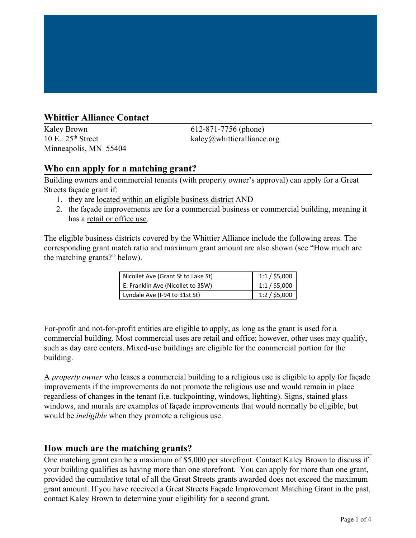## **Whittier Alliance Contact**

 $10$  E.,  $25<sup>th</sup>$  Street Minneapolis, MN 55404

Kaley Brown 612-871-7756 (phone)  $k$ aley@whittieralliance.org

### **Who can apply for a matching grant?**

Building owners and commercial tenants (with property owner's approval) can apply for a Great Streets façade grant if:

- 1. they are located within an [eligible business district](http://www.ci.minneapolis.mn.us/cped/docs/list_of_eligible_areas.pdf) AND
- 2. the façade improvements are for a commercial business or commercial building, meaning it has a retail or office use.

The eligible business districts covered by the Whittier Alliance include the following areas. The corresponding grant match ratio and maximum grant amount are also shown (see "How much are the matching grants?" below).

| Nicollet Ave (Grant St to Lake St) | $1:1/$ \$5,000 |
|------------------------------------|----------------|
| E. Franklin Ave (Nicollet to 35W)  | $1:1/$ \$5,000 |
| Lyndale Ave (I-94 to 31st St)      | $1:2/$ \$5,000 |

For-profit and not-for-profit entities are eligible to apply, as long as the grant is used for a commercial building. Most commercial uses are retail and office; however, other uses may qualify, such as day care centers. Mixed-use buildings are eligible for the commercial portion for the building.

A *property owner* who leases a commercial building to a religious use is eligible to apply for façade improvements if the improvements do not promote the religious use and would remain in place regardless of changes in the tenant (i.e. tuckpointing, windows, lighting). Signs, stained glass windows, and murals are examples of façade improvements that would normally be eligible, but would be *ineligible* when they promote a religious use.

### **How much are the matching grants?**

One matching grant can be a maximum of \$5,000 per storefront. Contact Kaley Brown to discuss if your building qualifies as having more than one storefront. You can apply for more than one grant, provided the cumulative total of all the Great Streets grants awarded does not exceed the maximum grant amount. If you have received a Great Streets Façade Improvement Matching Grant in the past, contact Kaley Brown to determine your eligibility for a second grant.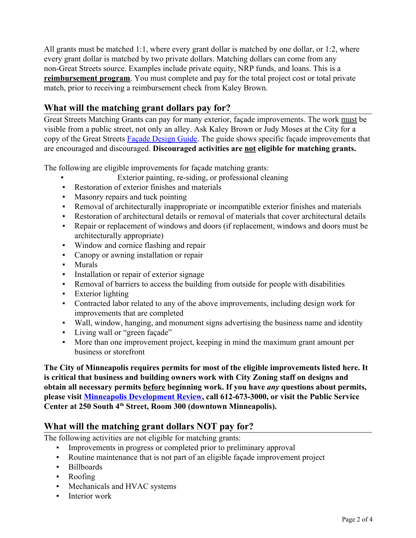All grants must be matched 1:1, where every grant dollar is matched by one dollar, or 1:2, where every grant dollar is matched by two private dollars. Matching dollars can come from any non-Great Streets source. Examples include private equity, NRP funds, and loans. This is a **reimbursement program**. You must complete and pay for the total project cost or total private match, prior to receiving a reimbursement check from Kaley Brown.

# **What will the matching grant dollars pay for?**

Great Streets Matching Grants can pay for many exterior, façade improvements. The work must be visible from a public street, not only an alley. Ask Kaley Brown or Judy Moses at the City for a copy of the Great Streets [Façade Design Guide](http://www.ci.minneapolis.mn.us/cped/docs/facade_design_guide.pdf). The guide shows specific façade improvements that are encouraged and discouraged. **Discouraged activities are not eligible for matching grants.**

The following are eligible improvements for façade matching grants:

- Exterior painting, re-siding, or professional cleaning
- Restoration of exterior finishes and materials
- Masonry repairs and tuck pointing
- Removal of architecturally inappropriate or incompatible exterior finishes and materials
- Restoration of architectural details or removal of materials that cover architectural details
- Repair or replacement of windows and doors (if replacement, windows and doors must be architecturally appropriate)
- Window and cornice flashing and repair
- Canopy or awning installation or repair
- Murals
- **•** Installation or repair of exterior signage
- Removal of barriers to access the building from outside for people with disabilities
- Exterior lighting
- Contracted labor related to any of the above improvements, including design work for improvements that are completed
- Wall, window, hanging, and monument signs advertising the business name and identity
- Living wall or "green façade"
- More than one improvement project, keeping in mind the maximum grant amount per business or storefront

**The City of Minneapolis requires permits for most of the eligible improvements listed here. It is critical that business and building owners work with City Zoning staff on designs and obtain all necessary permits before beginning work. If you have** *any* **questions about permits, please visit [Minneapolis Development Review,](http://www.ci.minneapolis.mn.us/mdr/) call 612-673-3000, or visit the Public Service Center at 250 South 4th Street, Room 300 (downtown Minneapolis).**

### **What will the matching grant dollars NOT pay for?**

The following activities are not eligible for matching grants:

- Improvements in progress or completed prior to preliminary approval
- Routine maintenance that is not part of an eligible façade improvement project
- Billboards
- Roofing
- Mechanicals and HVAC systems
- **•** Interior work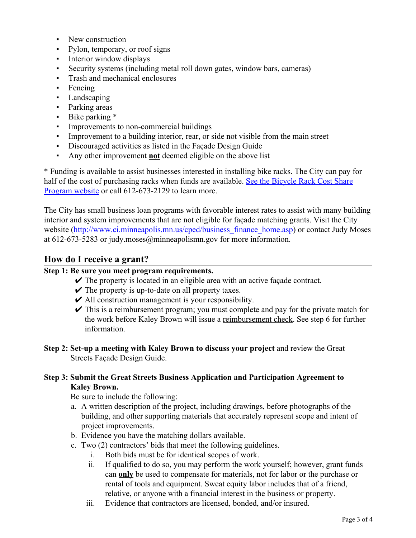- New construction
- Pylon, temporary, or roof signs
- **•** Interior window displays
- Security systems (including metal roll down gates, window bars, cameras)
- Trash and mechanical enclosures
- Fencing
- Landscaping
- Parking areas
- Bike parking \*
- **•** Improvements to non-commercial buildings
- Improvement to a building interior, rear, or side not visible from the main street
- Discouraged activities as listed in the Façade Design Guide
- Any other improvement **not** deemed eligible on the above list

\* Funding is available to assist businesses interested in installing bike racks. The City can pay for half of the cost of purchasing racks when funds are available. [See the Bicycle Rack Cost Share](http://lakestreetcouncil.us2.list-manage.com/track/click?u=ef25dbd62b2447308a2e3e78f&id=f256a3492e&e=599a63c6a5) [Program website](http://lakestreetcouncil.us2.list-manage.com/track/click?u=ef25dbd62b2447308a2e3e78f&id=f256a3492e&e=599a63c6a5) or call 612-673-2129 to learn more.

The City has small business loan programs with favorable interest rates to assist with many building interior and system improvements that are not eligible for façade matching grants. Visit the City website ([http://www.ci.minneapolis.mn.us/cped/business\\_finance\\_home.asp](http://www.ci.minneapolis.mn.us/cped/business_finance_home.asp)) or contact Judy Moses at 612-673-5283 or judy.moses@minneapolismn.gov for more information.

### **How do I receive a grant?**

#### **Step 1: Be sure you meet program requirements.**

- $\triangleright$  The property is located in an [eligible area with an active façade contract](http://www.ci.minneapolis.mn.us/cped/docs/list_of_eligible_areas.pdf).
- $\vee$  The property is up-to-date on all property taxes.
- $\vee$  All construction management is your responsibility.
- $\triangleright$  This is a reimbursement program; you must complete and pay for the private match for the work before Kaley Brown will issue a reimbursement check. See step 6 for further information.
- **Step 2: Set-up a meeting with Kaley Brown to discuss your project** and review the Great Streets [Façade Design Guide.](http://www.ci.minneapolis.mn.us/cped/docs/facade_design_guide.pdf)

#### **Step 3: Submit the Great Streets Business Application and Participation Agreement to Kaley Brown.**

Be sure to include the following:

- a. A written description of the project, including drawings, before photographs of the building, and other supporting materials that accurately represent scope and intent of project improvements.
- b. Evidence you have the matching dollars available.
- c. Two (2) contractors' bids that meet the following guidelines.
	- i. Both bids must be for identical scopes of work.
	- ii. If qualified to do so, you may perform the work yourself; however, grant funds can **only** be used to compensate for materials, not for labor or the purchase or rental of tools and equipment. Sweat equity labor includes that of a friend, relative, or anyone with a financial interest in the business or property.
	- iii. Evidence that contractors are licensed, bonded, and/or insured.